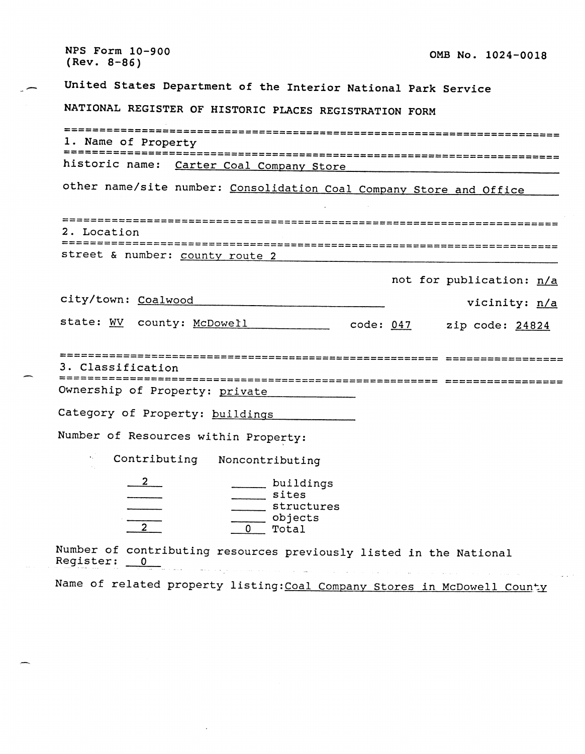NPS Form 10-900 OMB No. 1024-0018  $(Rev. 8-86)$ United States Department of the Interior National Park Service NATIONAL REGISTER OF HISTORIC PLACES REGISTRATION FORM 1. Name of Property historic name: Carter Coal Company Store other name/site number: Consolidation Coal Company Store and Office 2. Location street & number: county route 2 not for publication: n/a city/town: Coalwood vicinity: n/a state: WV county: McDowell code: 047 zip code: 24824 3. Classification Ownership of Property: private Category of Property: buildings Number of Resources within Property: Contributing Noncontributing  $\mathbf{2}$ buildings sites \_\_\_\_\_ structures  $\frac{ }{0}$  objects Number of contributing resources previously listed in the National Register: 0  $\mathcal{L}_{\text{max}}$  , and  $\mathcal{L}_{\text{max}}$ **Collection** Name of related property listing: Coal Company Stores in McDowell County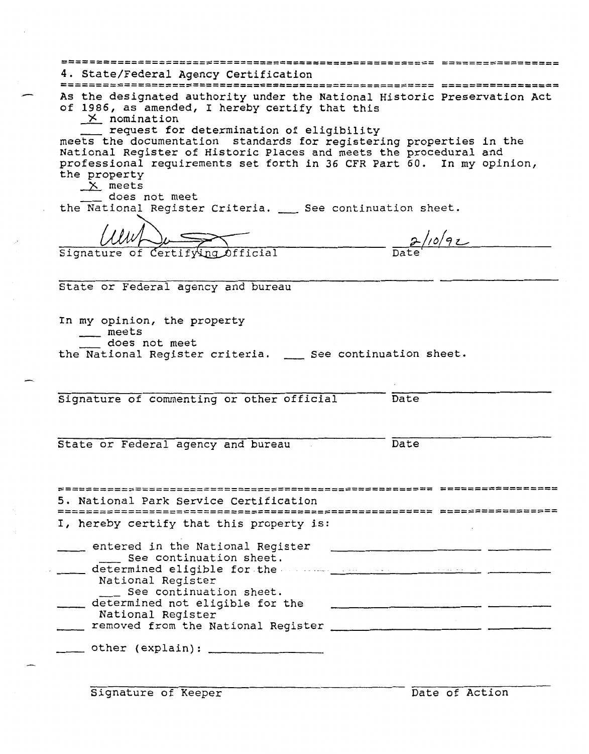| As the designated authority under the National Historic Preservation Act<br>of 1986, as amended, I hereby certify that this |                                   |
|-----------------------------------------------------------------------------------------------------------------------------|-----------------------------------|
| $\times$ nomination                                                                                                         |                                   |
| request for determination of eligibility                                                                                    |                                   |
| meets the documentation standards for registering properties in the                                                         |                                   |
| National Register of Historic Places and meets the procedural and                                                           |                                   |
| professional requirements set forth in 36 CFR Part 60. In my opinion,                                                       |                                   |
| the property<br>$X$ meets                                                                                                   |                                   |
| does not meet                                                                                                               |                                   |
| the National Register Criteria. __ See continuation sheet.                                                                  |                                   |
|                                                                                                                             |                                   |
|                                                                                                                             |                                   |
| Signature of Certify                                                                                                        |                                   |
|                                                                                                                             |                                   |
|                                                                                                                             |                                   |
| State or Federal agency and bureau                                                                                          |                                   |
|                                                                                                                             |                                   |
| In my opinion, the property                                                                                                 |                                   |
| __ meets                                                                                                                    |                                   |
|                                                                                                                             |                                   |
| does not meet                                                                                                               |                                   |
| the National Register criteria. __ See continuation sheet.                                                                  |                                   |
|                                                                                                                             |                                   |
|                                                                                                                             |                                   |
| Signature of commenting or other official                                                                                   | Date                              |
|                                                                                                                             |                                   |
|                                                                                                                             |                                   |
|                                                                                                                             | Date                              |
| State or Federal agency and bureau                                                                                          |                                   |
|                                                                                                                             |                                   |
|                                                                                                                             | ------------------ -------------- |
| 5. National Park Service Certification                                                                                      |                                   |
| FINISINSSRSSRISTIINISINSSESSESSTIININISINSSESSESSESSEN PLINUSTISTIIN                                                        |                                   |
| I, hereby certify that this property is:                                                                                    |                                   |
|                                                                                                                             |                                   |
| entered in the National Register                                                                                            |                                   |
| See continuation sheet.                                                                                                     |                                   |
| determined eligible for the manuscription of the contract of the contract of the contract of the contract of the            |                                   |
| National Register<br>__ See continuation sheet.                                                                             |                                   |
| ___ determined not eligible for the                                                                                         |                                   |
| National Register                                                                                                           |                                   |
| ___ removed from the National Register _________________________ _________                                                  |                                   |
| ____ other (explain): ____________________                                                                                  |                                   |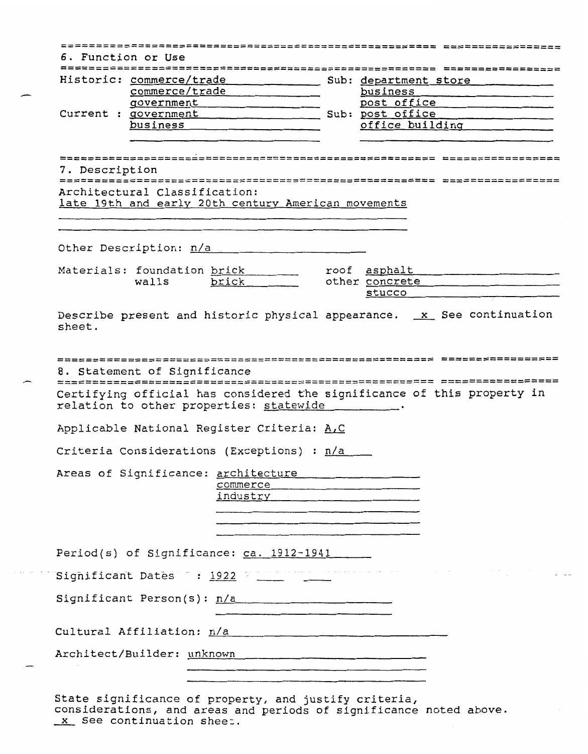|                |                               |                                                                                                  |  | Historic: commerce/trade Sub: department store                                                                                                                                                                                                                            |  |
|----------------|-------------------------------|--------------------------------------------------------------------------------------------------|--|---------------------------------------------------------------------------------------------------------------------------------------------------------------------------------------------------------------------------------------------------------------------------|--|
|                |                               | commerce/trade                                                                                   |  | business                                                                                                                                                                                                                                                                  |  |
|                |                               | qovernment                                                                                       |  | post office post of the series of the series of the series of the series of the series of the series of the series of the series of the series of the series of the series of the series of the series of the series of the se                                            |  |
|                |                               |                                                                                                  |  | Current : government Sub: post office<br>office building                                                                                                                                                                                                                  |  |
|                |                               | business entertainment                                                                           |  |                                                                                                                                                                                                                                                                           |  |
| 7. Description |                               |                                                                                                  |  |                                                                                                                                                                                                                                                                           |  |
|                |                               |                                                                                                  |  |                                                                                                                                                                                                                                                                           |  |
|                | Architectural Classification: |                                                                                                  |  |                                                                                                                                                                                                                                                                           |  |
|                |                               | late 19th and early 20th century American movements                                              |  |                                                                                                                                                                                                                                                                           |  |
|                |                               |                                                                                                  |  |                                                                                                                                                                                                                                                                           |  |
|                |                               |                                                                                                  |  |                                                                                                                                                                                                                                                                           |  |
|                |                               | Other Description: n/a                                                                           |  |                                                                                                                                                                                                                                                                           |  |
|                |                               |                                                                                                  |  |                                                                                                                                                                                                                                                                           |  |
|                |                               | Materials: foundation brick<br>walls brick                                                       |  | roof asphalt contains a series and series and series and series and series and series and series and series and series and series and series and series and series and series and series and series and series and series and<br>other concrete entitled and the concrete |  |
|                |                               |                                                                                                  |  | stucco                                                                                                                                                                                                                                                                    |  |
|                |                               |                                                                                                  |  |                                                                                                                                                                                                                                                                           |  |
|                | 8. Statement of Significance  | relation to other properties: statewide _________.<br>Applicable National Register Criteria: A.C |  | Certifying official has considered the significance of this property in                                                                                                                                                                                                   |  |
|                |                               | Criteria Considerations (Exceptions) : n/a                                                       |  |                                                                                                                                                                                                                                                                           |  |
|                |                               |                                                                                                  |  |                                                                                                                                                                                                                                                                           |  |
|                |                               | Areas of Significance: architecture                                                              |  |                                                                                                                                                                                                                                                                           |  |
|                |                               | commerce example and commerce                                                                    |  |                                                                                                                                                                                                                                                                           |  |
|                |                               |                                                                                                  |  |                                                                                                                                                                                                                                                                           |  |
|                |                               |                                                                                                  |  |                                                                                                                                                                                                                                                                           |  |
|                |                               |                                                                                                  |  |                                                                                                                                                                                                                                                                           |  |
|                |                               | Period(s) of Significance: ca. 1912-1941                                                         |  |                                                                                                                                                                                                                                                                           |  |
|                |                               |                                                                                                  |  |                                                                                                                                                                                                                                                                           |  |
|                |                               | Significant Person(s): $n/a$                                                                     |  |                                                                                                                                                                                                                                                                           |  |
|                |                               |                                                                                                  |  |                                                                                                                                                                                                                                                                           |  |
|                |                               | Cultural Affiliation: n/a<br>Architect/Builder: unknown                                          |  |                                                                                                                                                                                                                                                                           |  |

Itate significance of property, and justify criteria, considerations, and areas and periods of significance noted above. - The Community of the Significance of propert<br>
See continuation sheet.<br>
See continuation sheet.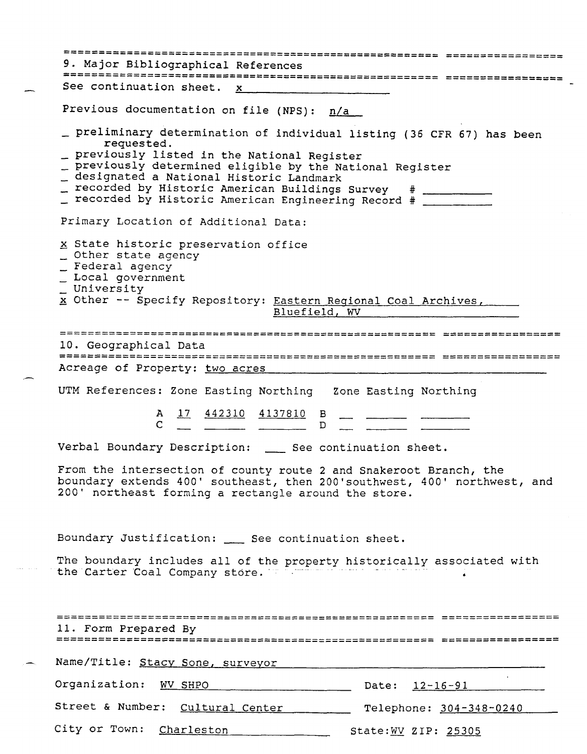|                                                                                | 9. Major Bibliographical References<br>:2225338859833553122888 22255558555555                                                                                                                                                                                                                                                                                                   |
|--------------------------------------------------------------------------------|---------------------------------------------------------------------------------------------------------------------------------------------------------------------------------------------------------------------------------------------------------------------------------------------------------------------------------------------------------------------------------|
|                                                                                | See continuation sheet. x                                                                                                                                                                                                                                                                                                                                                       |
|                                                                                | Previous documentation on file (NPS): n/a                                                                                                                                                                                                                                                                                                                                       |
|                                                                                | _ preliminary determination of individual listing (36 CFR 67) has been<br>requested.<br>_ previously listed in the National Register<br>_ previously determined eligible by the National Register<br>_ designated a National Historic Landmark<br>_ recorded by Historic American Buildings Survey # __________<br>_ recorded by Historic American Engineering Record # _______ |
|                                                                                | Primary Location of Additional Data:                                                                                                                                                                                                                                                                                                                                            |
| _ Other state agency<br>_ Federal agency<br>_ Local government<br>_ University | x State historic preservation office<br>x Other -- Specify Repository: Eastern Regional Coal Archives,<br>Bluefield, WV                                                                                                                                                                                                                                                         |
|                                                                                | 1===============================                                                                                                                                                                                                                                                                                                                                                |
| 10. Geographical Data                                                          |                                                                                                                                                                                                                                                                                                                                                                                 |
|                                                                                | Acreage of Property: two acres                                                                                                                                                                                                                                                                                                                                                  |
|                                                                                |                                                                                                                                                                                                                                                                                                                                                                                 |
|                                                                                | UTM References: Zone Easting Northing Zone Easting Northing                                                                                                                                                                                                                                                                                                                     |
|                                                                                | A 17 442310 4137810 B                                                                                                                                                                                                                                                                                                                                                           |
|                                                                                | Verbal Boundary Description: __ See continuation sheet.                                                                                                                                                                                                                                                                                                                         |
|                                                                                | From the intersection of county route 2 and Snakeroot Branch, the<br>boundary extends 400' southeast, then 200'southwest, 400' northwest, and<br>200' northeast forming a rectangle around the store.                                                                                                                                                                           |
|                                                                                | Boundary Justification: ___ See continuation sheet.                                                                                                                                                                                                                                                                                                                             |
|                                                                                | The boundary includes all of the property historically associated with<br>the Carter Coal Company store.                                                                                                                                                                                                                                                                        |
|                                                                                |                                                                                                                                                                                                                                                                                                                                                                                 |
| ,===================                                                           |                                                                                                                                                                                                                                                                                                                                                                                 |
| 11. Form Prepared By                                                           |                                                                                                                                                                                                                                                                                                                                                                                 |
|                                                                                | Name/Title: Stacy Sone, surveyor                                                                                                                                                                                                                                                                                                                                                |
| Organization:                                                                  | WV SHPO<br>Date: 12-16-91                                                                                                                                                                                                                                                                                                                                                       |
| Street & Number:                                                               | Cultural Center<br>Telephone: 304-348-0240                                                                                                                                                                                                                                                                                                                                      |
|                                                                                |                                                                                                                                                                                                                                                                                                                                                                                 |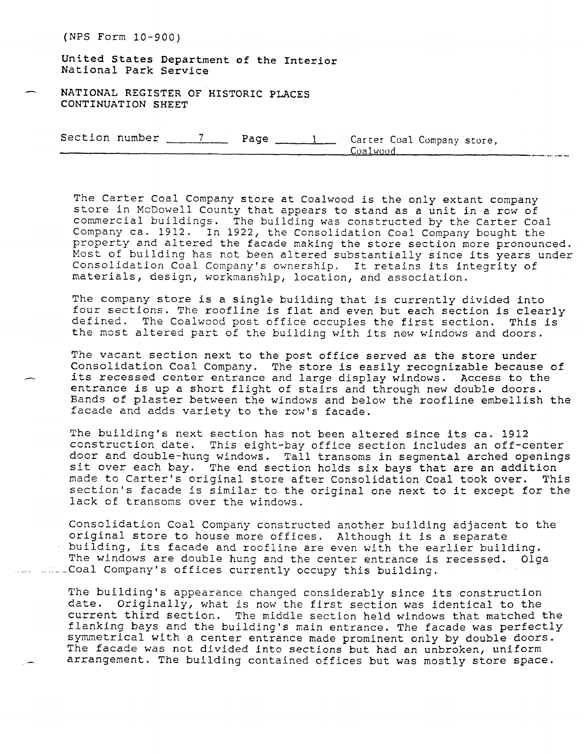United States Department of the Interior National Park Service

**- NATIONAL REGISTER OF HISTORIC PLACES CONTINUATION SHEET** 

Section number <u>7 Page 1</u> Carter Coal Company store,<br>
Coalwood **Company Company Company Company** Store,

The Carter Coal Company store at Coalwood is the only extant company store in McDowell County that appears to stand as a unit in a row of commercial buildings. The building was constructed by the Carter Coal Company ca. 1912. In 1922, the Consolidation Coal Company bought the property and altered the facade making the store section more pronounced. Most of building has not been altered substantially since its years under Consolidation Coal Company's ownership. It retains its integrity of materials, design, workmanship, location, and association.

The company store is a single building that is currently divided into four sections. The roofline is flat and even but each section is clearly defined. The Coalwood post office occupies the first section. This is the most altered part of the building with its new windows and doors.

The vacant section next to the post office served as the store under Consolidation Coal Company. The store is easily recognizable because of its recessed center entrance and large display windows. Access to the entrance is up a short flight of stairs and through new double doors. Bands of plaster between the windows and below the roofline embellish the facade and adds variety to the row's facade.

The building's next section has not been altered since its ca. 1912 construction date. This eight-bay office section includes an off-center door and double-hung windows. Tall transoms in segmental arched openings sit over each bay. The end section holds six bays that are an addition made to Carter's original store after Consolidation Coal took over. This section's facade is similar to the original one next to it except for the lack of transoms over the windows.

Consolidation Coal Company constructed another building adjacent to the original store to house more offices. Although it is a separate building, its facade and roofline are even with the earlier building. The windows are double hung and the center entrance is recessed. Olga .- Coal Company's offices currently occupy this building.

The building's appearance changed considerably since its construction date. Originally, what is now the first section was identical to the current third section. The middle section held windows that matched the flanking bays and the building's main entrance. The facade was perfectly symmetrical with a center entrance made prominent only by double doors. The facade was not divided into sections but had an unbroken, uniform arrangement. The building contained offices but was mostly store space.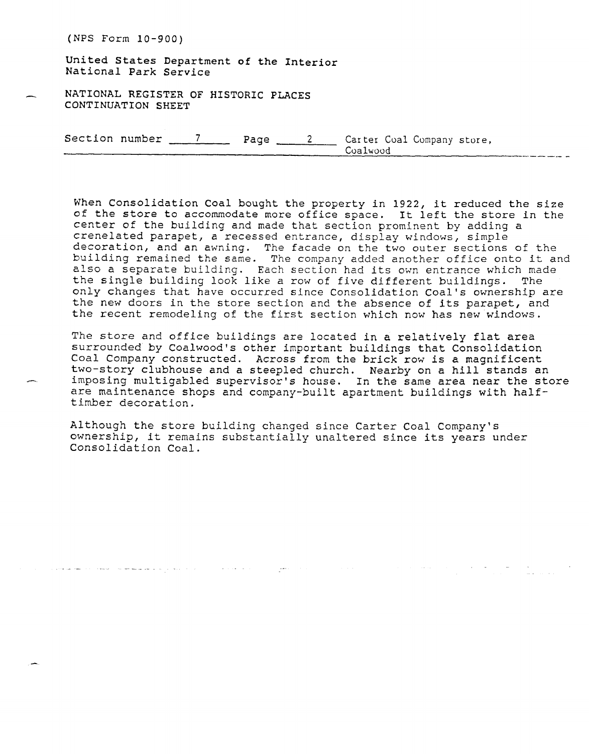United States Department of the Interior National Park Service

**NATIONAL REGISTER OF HISTORIC PLACES CONTINUATION SHEET** 

> Section number 7 Page 2 Carter Coal Company store, Coalwood

When Consolidation Coal bought the property in 1922, it reduced the size of the store to accommodate more office space. It left the store in the center of the building and made that section prominent by adding a crenelated parapet, a recessed entrance, display windows, simple decoration, and an awning. The facade on the two outer sections of the building remained the same. The company added another office onto it and also a separate building. Each section had its own entrance which made the single building look like a row of five different buildings. The only changes that have occurred since Consolidation Coal's ownership are the new doors in the store section and the absence of its parapet, and the recent remodeling of the first section which now has new windows.

The store and office buildings are located in a relatively flat area surrounded by Coalwood's other important buildings that Consolidation Coal Company constructed. Across from the brick row is a magnificent two-story clubhouse and a steepled church. Nearby on a hill stands an imposing multigabled supervisor's house. In the same area near the store are maintenance shops and company-built apartment buildings with halftimber decoration.

المن المستخدم المناسب المناسب المناسب المناسب المناسب المناسب المناسب المناسب المناسب المناسب المناسب المناسب<br>والمناسب المناسب المناسب المناسب المناسب المناسب المناسب المناسب المناسب المناسب المناسب المناسب المناسب المنا

Although the store building changed since Carter Coal Company's ownership, it remains substantially unaltered since its years under Consolidation Coal.

المعاون والمستعمر المستويات والمتحدث والمعاون والمعاون والمستحدث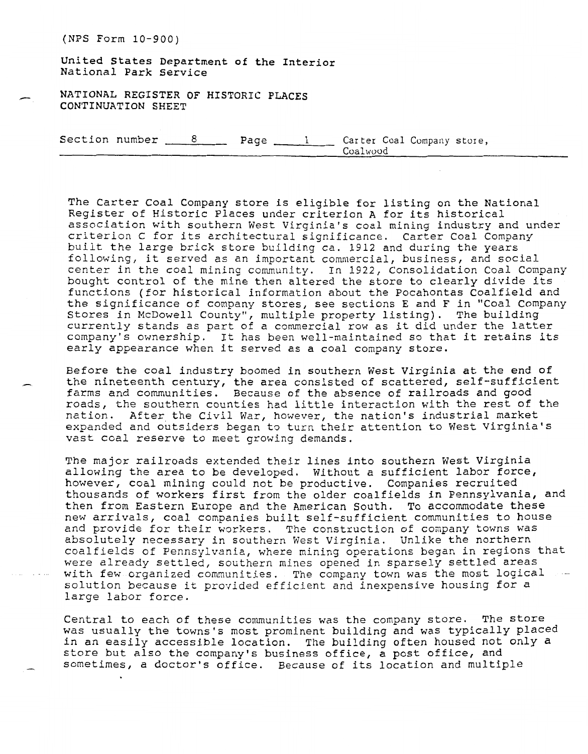**United States Department of the Interior**  National Park Service

**- NATIONAL REGISTER OF HISTORIC PLACES CONTINUATION SHEET** 

> Section number  $\frac{8}{2}$  Page  $\frac{1}{2}$  Carter Coal Company store, Coalwood

The Carter Coal Company store is eligible for listing on the National Register of Historic Places under criterion **A** for its historical association with southern West Virginia's coal mining industry and under criterion C for its architectural significance. Carter Coal Company built the large brick store building ca. 1912 and during the years following, it served as an important commercial, business, and social center in the coal mining community. In 1922, Consolidation Coal Company bought control **of** the mine then altered the store to clearly divide its functions (for historical information about the Pocahontas Coalfield and the significance of company stores, see sections E and F in "Coal Company Stores in McDowell County", multiple property listing). The building currently stands as part of a commercial row as it did under the latter company's ownership. It has been well-maintained so that it retains its early appearance when it served as a coal company store.

Before the coal industry boomed in southern West Virginia at the end of the nineteenth century, the area consisted of scattered, self-sufficient farms and communities. Because of the absence of railroads and good roads, the southern counties had little interaction with the rest of the nation. After the Civil War, however, the nation's industrial market expanded and outsiders began to turn their attention to West Virginia's vast coal reserve to meet growing demands.

The major railroads extended their lines into southern West Virginia allowing the area to be developed. Without a sufficient labor force, however, coal mining could not be productive. Companies recruited thousands of workers first from the older coalfields in Pennsylvania, and then from Eastern Europe and the American South. To accommodate these new arrivals, coal companies built self-sufficient communities to house and provide for their workers, The construction of company towns was absolutely necessary in southern West Virginia. Unlike the northern coalfields of Pennsylvania, where mining operations began in regions that ere already settled, southern mines opened in sparsely settled areas<br>ith few organized communities. The company town was the most logical with few organized communities. The company town was the most logical ---<br>solution because it provided efficient and inexpensive housing for a large labor force.

Central to each of these communities was the company store. The store was usually the towns's most prominent building and was typically placed in an easily accessible location. The building often housed not only a store but also the company's business office, a post office, and sometimes, a doctor's office. Because of its location and multiple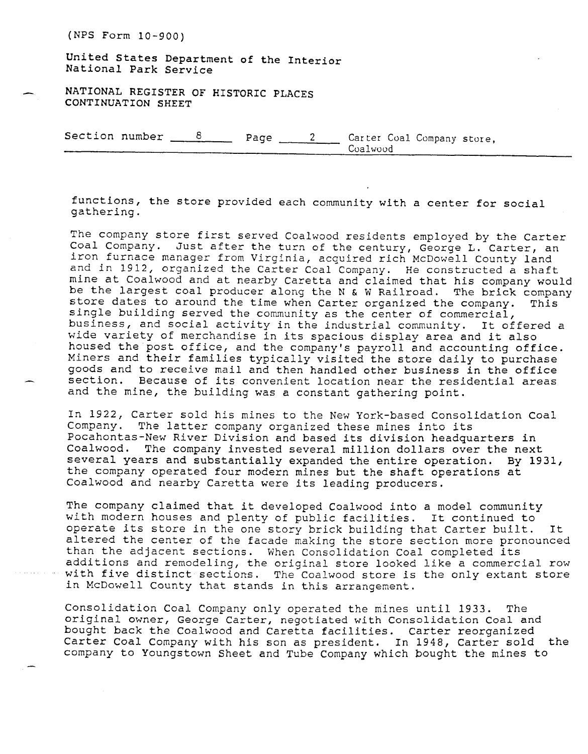United States Department **of** the Interior National Park Service

- **NATIONAL REGISTER OF HISTORIC PLACES CONTINUATION SHEET** 

Section number  $\frac{8}{2}$  Page  $\frac{2}{2}$  Carter Coal Company store, Coalwood

functions, the store provided each community with **a** center for social gathering.

The company store first served Coalwood residents employed by the Carter Coal Company. Just after the turn of the century, George L. Carter, an iron furnace manager from Virginia, acquired rich McDowell County land and in 1912, organized the Carter Coal Company. He constructed a shaft mine at Coalwood and at nearby Caretta and claimed that his company would be the largest coal producer along the N & W Railroad. The brick company store dates to around the time when Carter organized the company. This single building served the community as the center of commercial, business, and social activity in the industrial community. It offered a wide variety of merchandise in its spacious display area and it also housed the post office, and the company's payroll and accounting office. Miners and their families typically visited the store daily to purchase goods and to receive mail and then handled other business in the office section. Because of its convenient location near the residential areas and the mine, the building was a constant gathering point.

In 1922, Carter sold his mines to the New York-based Consolidation Coal Company. The latter company organized these mines into its Pocahontas-New River Division and based its division headquarters in Coalwood. The company invested several million dollars over the next several years and substantially expanded the entire operation. **By** 1931, the company operated four modern mines but the shaft operations at Coalwood and nearby Caretta were its leading producers.

The company claimed that it developed Coalwood into a model community with modern houses and plenty of public facilities. It continued to operate its store in the one story brick building that Carter built. It altered the center of the facade making the store section more pronounced than the adjacent sections. When Consolidation Coal completed its additions and remodeling, the original store looked like a commercial row with five distinct sections. The Coalwood store is the only extant store in McDowell County that stands in this arrangement.

Consolidation Coal Company only operated the mines until 1933. The original owner, George Carter, negotiated with Consolidation Coal and bought back the Coalwood and Caretta facilities. Carter reorganized<br>Carter Coal Company with his son as president. In 1948, Carter sold the Carter Coal Company with his son as president. In 1948, Carter sold company to Youngstown Sheet and Tube Company which bought the mines to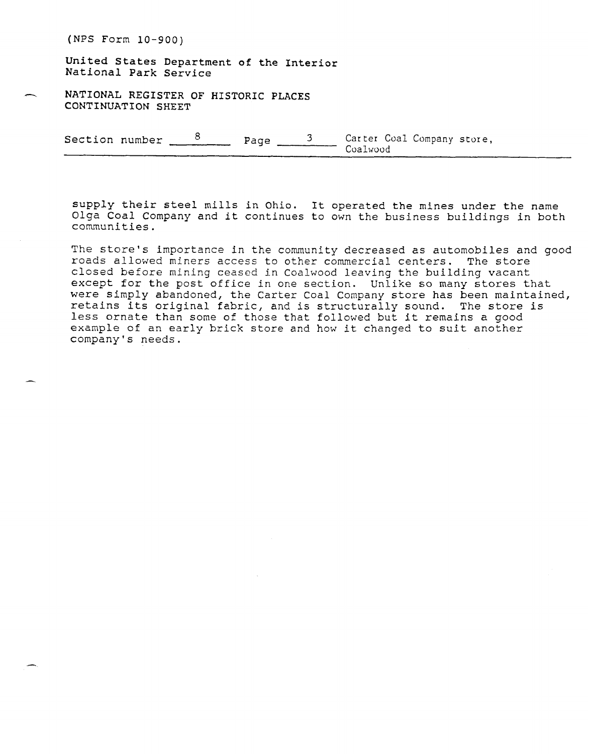**United States Department of the Interior**  National Park **Service** 

- **NATIONAL REGISTER OF HISTORIC PLACES CONTINUATION** SHEET

Section number  $\frac{8}{2}$  Page  $\frac{3}{2}$  Carter Coal Company store, Coalwood

supply their steel mills in **Ohio.** It operated **the** mines under the name Olga Coal Company and it continues **to** own **the** business buildings in both communities.

The store's importance in the community decreased as automobiles and good roads allowed miners access to other commercial centers. The store closed before mining ceased in Coalwood leaving the building vacant except for the post office in one section. Unlike so many stores that were simply abandoned, the Carter Coal Company store has been maintained, retains its original fabric, and is structurally sound. The store is less ornate than some of those that followed but it remains a good example of an early brick store and how it changed to suit another company's needs.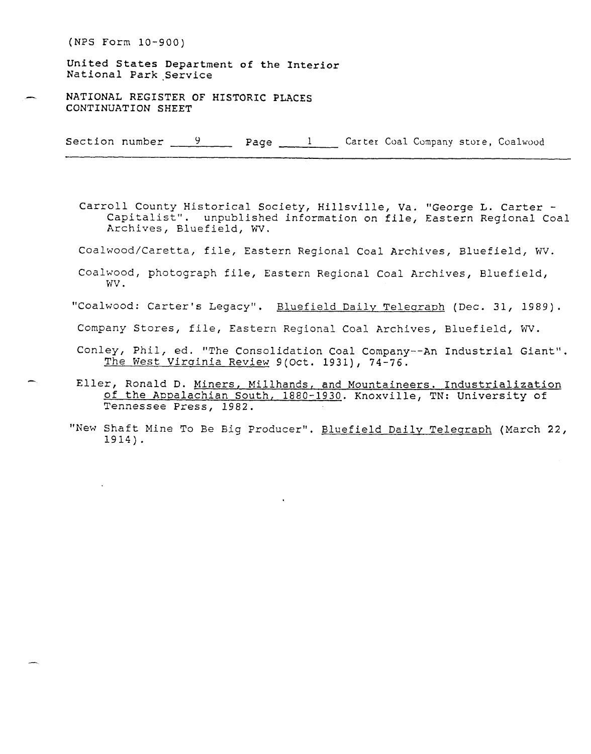United States Department of the **Interior**  National Park Service

NATIONAL REGISTER OF HISTORIC PLACES CONTINUATION SHEET

Section number  $\frac{9}{2}$  Page  $\frac{1}{2}$  Carter Coal Company store, Coalwood

Carroll County Historical Society, Hillsville, Va. "George L. Carter - Capitalist". unpublished information on file, Eastern Regional Coal Archives, Bluefield, WV.

Coalwood/Caretta, file, Eastern Regional Coal Archives, Bluefield, WV.

Coalwood, photograph file, Eastern Regional Coal Archives, Bluefield, wv .

"Coalwood: Carter's Legacy". Bluefield Daily Teleqraph (Dec. 31, **1989).** 

Company Stores, file, Eastern Regional Coal Archives, Bluefield, W.

- Conley, Phil, ed. "The Consolidation Coal Company--An Industrial Giant". The West Virginia Review 9(Oct. 1931), 74-76.
- Eller, Ronald D. Miners, Millhands, and Mountaineers. Industrialization of the Appalachian South, **1880-1930.** Knoxville, TN: University of Tennessee Press, **1982.**
- "New Shaft Mine To Be Big Producer". Bluefield Daily Telegraph (March 22, **1914).**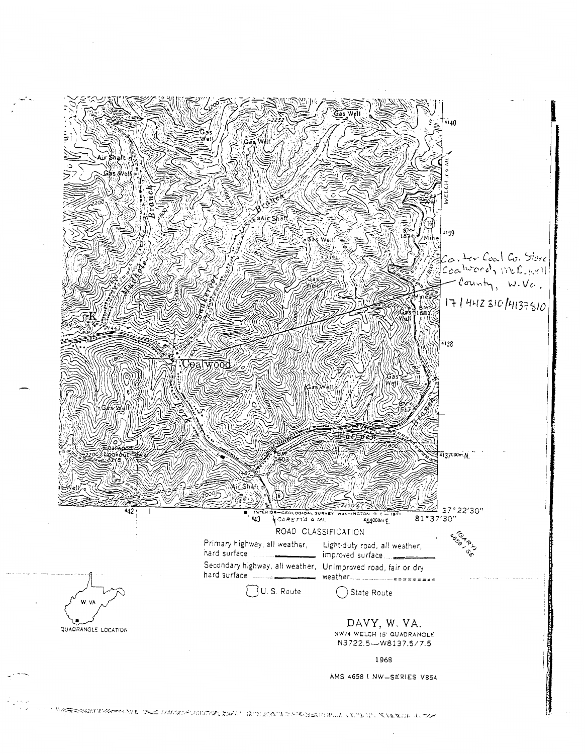